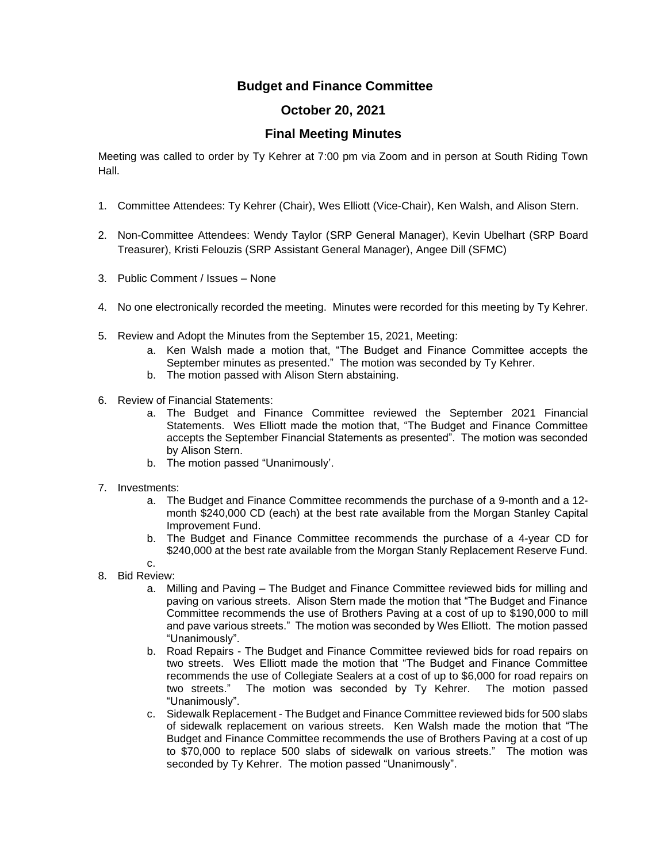## **Budget and Finance Committee**

## **October 20, 2021**

## **Final Meeting Minutes**

Meeting was called to order by Ty Kehrer at 7:00 pm via Zoom and in person at South Riding Town Hall.

- 1. Committee Attendees: Ty Kehrer (Chair), Wes Elliott (Vice-Chair), Ken Walsh, and Alison Stern.
- 2. Non-Committee Attendees: Wendy Taylor (SRP General Manager), Kevin Ubelhart (SRP Board Treasurer), Kristi Felouzis (SRP Assistant General Manager), Angee Dill (SFMC)
- 3. Public Comment / Issues None
- 4. No one electronically recorded the meeting. Minutes were recorded for this meeting by Ty Kehrer.
- 5. Review and Adopt the Minutes from the September 15, 2021, Meeting:
	- a. Ken Walsh made a motion that, "The Budget and Finance Committee accepts the September minutes as presented." The motion was seconded by Ty Kehrer.
	- b. The motion passed with Alison Stern abstaining.
- 6. Review of Financial Statements:
	- a. The Budget and Finance Committee reviewed the September 2021 Financial Statements. Wes Elliott made the motion that, "The Budget and Finance Committee accepts the September Financial Statements as presented". The motion was seconded by Alison Stern.
	- b. The motion passed "Unanimously'.
- 7. Investments:
	- a. The Budget and Finance Committee recommends the purchase of a 9-month and a 12 month \$240,000 CD (each) at the best rate available from the Morgan Stanley Capital Improvement Fund.
	- b. The Budget and Finance Committee recommends the purchase of a 4-year CD for \$240,000 at the best rate available from the Morgan Stanly Replacement Reserve Fund.
	- c.
- 8. Bid Review:
	- a. Milling and Paving The Budget and Finance Committee reviewed bids for milling and paving on various streets. Alison Stern made the motion that "The Budget and Finance Committee recommends the use of Brothers Paving at a cost of up to \$190,000 to mill and pave various streets." The motion was seconded by Wes Elliott. The motion passed "Unanimously".
	- b. Road Repairs The Budget and Finance Committee reviewed bids for road repairs on two streets. Wes Elliott made the motion that "The Budget and Finance Committee recommends the use of Collegiate Sealers at a cost of up to \$6,000 for road repairs on two streets." The motion was seconded by Ty Kehrer. The motion passed "Unanimously".
	- c. Sidewalk Replacement The Budget and Finance Committee reviewed bids for 500 slabs of sidewalk replacement on various streets. Ken Walsh made the motion that "The Budget and Finance Committee recommends the use of Brothers Paving at a cost of up to \$70,000 to replace 500 slabs of sidewalk on various streets." The motion was seconded by Ty Kehrer. The motion passed "Unanimously".